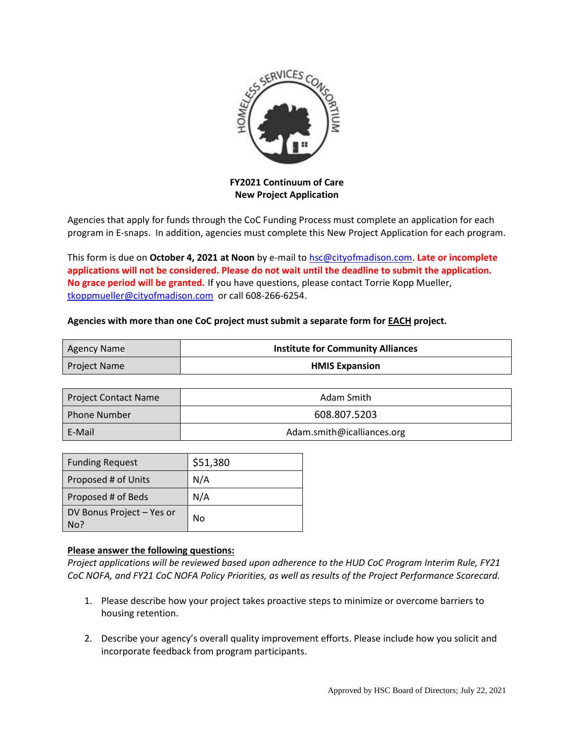

**FY2021 Continuum of Care New Project Application**

Agencies that apply for funds through the CoC Funding Process must complete an application for each program in E-snaps. In addition, agencies must complete this New Project Application for each program.

This form is due on **October 4, 2021 at Noon** by e-mail to [hsc@cityofmadison.com.](mailto:hsc@cityofmadison.com) **Late or incomplete applications will not be considered. Please do not wait until the deadline to submit the application. No grace period will be granted.** If you have questions, please contact Torrie Kopp Mueller, [tkoppmueller@cityofmadison.com](mailto:tkoppmueller@cityofmadison.com) or call 608-266-6254.

## **Agencies with more than one CoC project must submit a separate form for EACH project.**

| Agency Name         | <b>Institute for Community Alliances</b> |
|---------------------|------------------------------------------|
| <b>Project Name</b> | <b>HMIS Expansion</b>                    |

| <b>Project Contact Name</b> | Adam Smith                 |
|-----------------------------|----------------------------|
| l Phone Number              | 608.807.5203               |
| E-Mail                      | Adam.smith@icalliances.org |

| <b>Funding Request</b>           | \$51,380 |
|----------------------------------|----------|
| Proposed # of Units              | N/A      |
| Proposed # of Beds               | N/A      |
| DV Bonus Project - Yes or<br>No? | No       |

## **Please answer the following questions:**

*Project applications will be reviewed based upon adherence to the HUD CoC Program Interim Rule, FY21 CoC NOFA, and FY21 CoC NOFA Policy Priorities, as well as results of the Project Performance Scorecard.*

- 1. Please describe how your project takes proactive steps to minimize or overcome barriers to housing retention.
- 2. Describe your agency's overall quality improvement efforts. Please include how you solicit and incorporate feedback from program participants.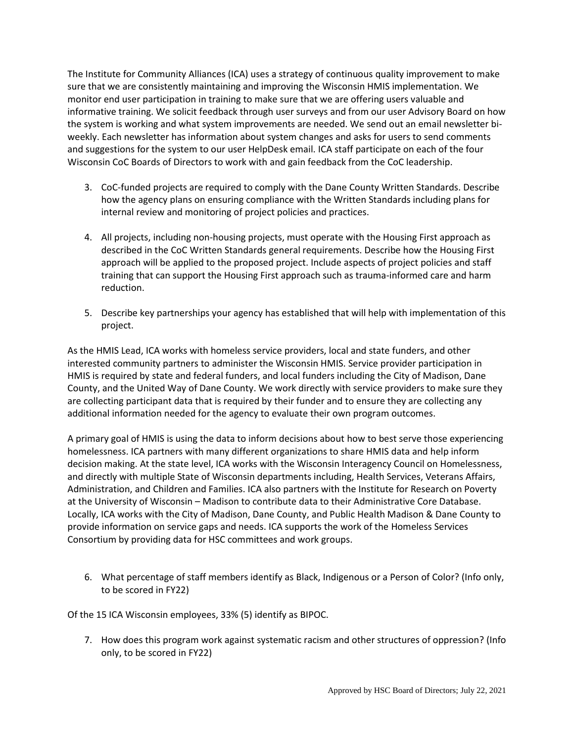The Institute for Community Alliances (ICA) uses a strategy of continuous quality improvement to make sure that we are consistently maintaining and improving the Wisconsin HMIS implementation. We monitor end user participation in training to make sure that we are offering users valuable and informative training. We solicit feedback through user surveys and from our user Advisory Board on how the system is working and what system improvements are needed. We send out an email newsletter biweekly. Each newsletter has information about system changes and asks for users to send comments and suggestions for the system to our user HelpDesk email. ICA staff participate on each of the four Wisconsin CoC Boards of Directors to work with and gain feedback from the CoC leadership.

- 3. CoC-funded projects are required to comply with the Dane County Written Standards. Describe how the agency plans on ensuring compliance with the Written Standards including plans for internal review and monitoring of project policies and practices.
- 4. All projects, including non-housing projects, must operate with the Housing First approach as described in the CoC Written Standards general requirements. Describe how the Housing First approach will be applied to the proposed project. Include aspects of project policies and staff training that can support the Housing First approach such as trauma-informed care and harm reduction.
- 5. Describe key partnerships your agency has established that will help with implementation of this project.

As the HMIS Lead, ICA works with homeless service providers, local and state funders, and other interested community partners to administer the Wisconsin HMIS. Service provider participation in HMIS is required by state and federal funders, and local funders including the City of Madison, Dane County, and the United Way of Dane County. We work directly with service providers to make sure they are collecting participant data that is required by their funder and to ensure they are collecting any additional information needed for the agency to evaluate their own program outcomes.

A primary goal of HMIS is using the data to inform decisions about how to best serve those experiencing homelessness. ICA partners with many different organizations to share HMIS data and help inform decision making. At the state level, ICA works with the Wisconsin Interagency Council on Homelessness, and directly with multiple State of Wisconsin departments including, Health Services, Veterans Affairs, Administration, and Children and Families. ICA also partners with the Institute for Research on Poverty at the University of Wisconsin – Madison to contribute data to their Administrative Core Database. Locally, ICA works with the City of Madison, Dane County, and Public Health Madison & Dane County to provide information on service gaps and needs. ICA supports the work of the Homeless Services Consortium by providing data for HSC committees and work groups.

6. What percentage of staff members identify as Black, Indigenous or a Person of Color? (Info only, to be scored in FY22)

Of the 15 ICA Wisconsin employees, 33% (5) identify as BIPOC.

7. How does this program work against systematic racism and other structures of oppression? (Info only, to be scored in FY22)